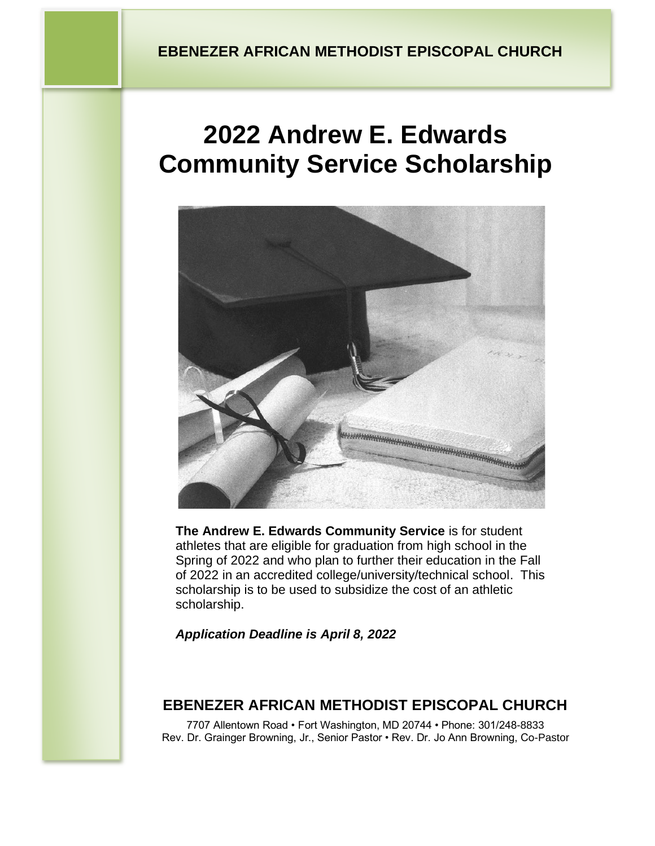# **2022 Andrew E. Edwards Community Service Scholarship**



**The Andrew E. Edwards Community Service** is for student athletes that are eligible for graduation from high school in the Spring of 2022 and who plan to further their education in the Fall of 2022 in an accredited college/university/technical school. This scholarship is to be used to subsidize the cost of an athletic scholarship.

*Application Deadline is April 8, 2022*

## **EBENEZER AFRICAN METHODIST EPISCOPAL CHURCH**

7707 Allentown Road • Fort Washington, MD 20744 • Phone: 301/248-8833 Rev. Dr. Grainger Browning, Jr., Senior Pastor • Rev. Dr. Jo Ann Browning, Co-Pastor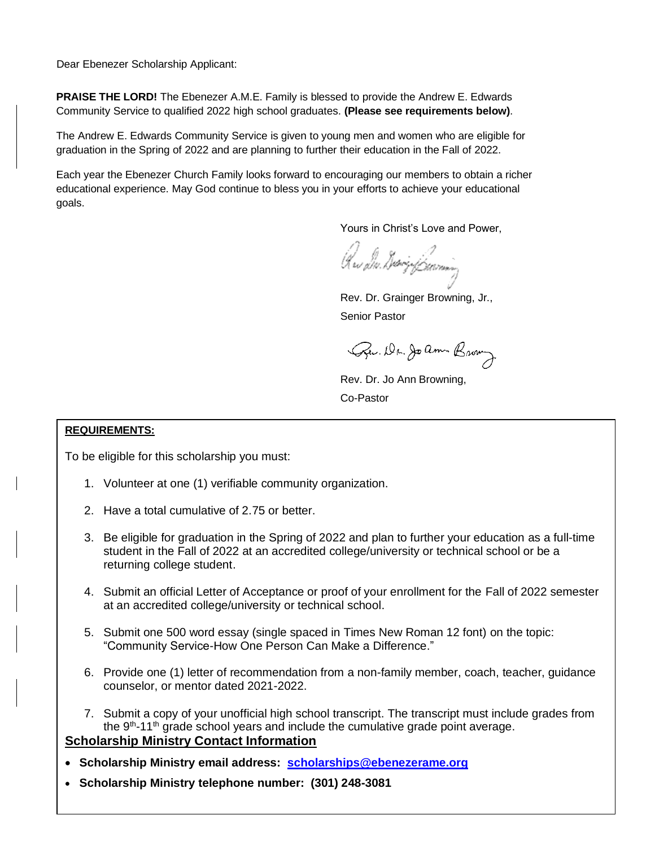Dear Ebenezer Scholarship Applicant:

**PRAISE THE LORD!** The Ebenezer A.M.E. Family is blessed to provide the Andrew E. Edwards Community Service to qualified 2022 high school graduates. **(Please see requirements below)**.

The Andrew E. Edwards Community Service is given to young men and women who are eligible for graduation in the Spring of 2022 and are planning to further their education in the Fall of 2022.

Each year the Ebenezer Church Family looks forward to encouraging our members to obtain a richer educational experience. May God continue to bless you in your efforts to achieve your educational goals.

Yours in Christ's Love and Power,

Krs Dv. Diviz Jamm

Rev. Dr. Grainger Browning, Jr., Senior Pastor

Pu. Dr. Joann Brown

Rev. Dr. Jo Ann Browning, Co-Pastor

#### **REQUIREMENTS:**

To be eligible for this scholarship you must:

- 1. Volunteer at one (1) verifiable community organization.
- 2. Have a total cumulative of 2.75 or better.
- 3. Be eligible for graduation in the Spring of 2022 and plan to further your education as a full-time student in the Fall of 2022 at an accredited college/university or technical school or be a returning college student.
- 4. Submit an official Letter of Acceptance or proof of your enrollment for the Fall of 2022 semester at an accredited college/university or technical school.
- 5. Submit one 500 word essay (single spaced in Times New Roman 12 font) on the topic: "Community Service-How One Person Can Make a Difference."
- 6. Provide one (1) letter of recommendation from a non-family member, coach, teacher, guidance counselor, or mentor dated 2021-2022.
- 7. Submit a copy of your unofficial high school transcript. The transcript must include grades from the  $9<sup>th</sup>$ -11<sup>th</sup> grade school years and include the cumulative grade point average.

#### **Scholarship Ministry Contact Information**

- **Scholarship Ministry email address: [scholarships@ebenezerame.org](mailto:scholarships@ebenezerame.org)**
- **Scholarship Ministry telephone number: (301) 248-3081**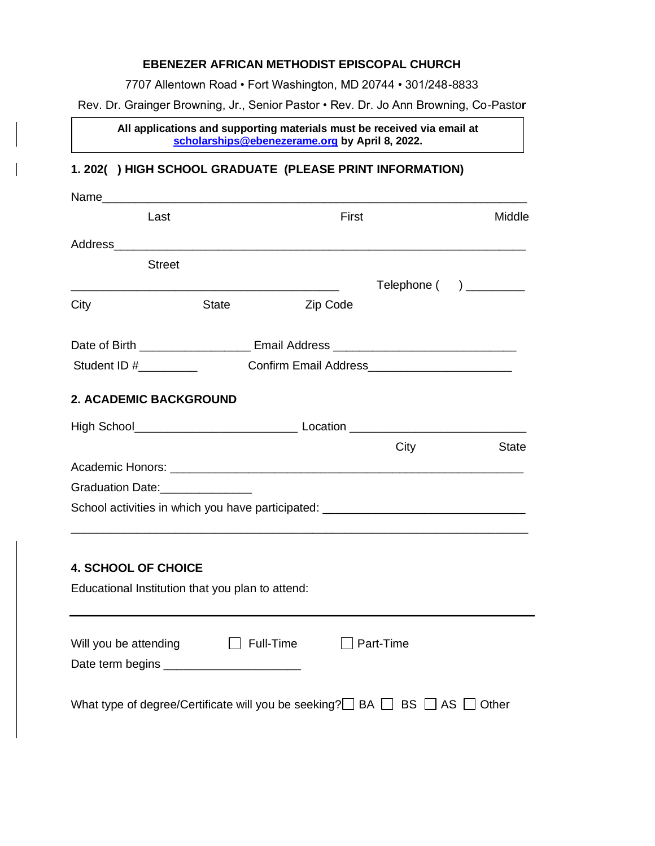#### **EBENEZER AFRICAN METHODIST EPISCOPAL CHURCH**

7707 Allentown Road • Fort Washington, MD 20744 • 301/248-8833

Rev. Dr. Grainger Browning, Jr., Senior Pastor • Rev. Dr. Jo Ann Browning, Co-Pasto**r**

**All applications and supporting materials must be received via email at [scholarships@ebenezerame.org](mailto:scholarships@ebenezerame.org) by April 8, 2022.**

### **1. 202( ) HIGH SCHOOL GRADUATE (PLEASE PRINT INFORMATION)**

**i**

| Last                                        |                                                  | First    |                                                                                  | Middle       |
|---------------------------------------------|--------------------------------------------------|----------|----------------------------------------------------------------------------------|--------------|
|                                             |                                                  |          |                                                                                  |              |
| <b>Street</b>                               |                                                  |          |                                                                                  |              |
| City                                        | <b>State</b>                                     | Zip Code | $\text{Telephone}$ ( ) ________                                                  |              |
|                                             |                                                  |          |                                                                                  |              |
|                                             |                                                  |          | Student ID # Confirm Email Address Confirm - Confirm Email Address               |              |
| 2. ACADEMIC BACKGROUND                      |                                                  |          |                                                                                  |              |
|                                             |                                                  |          |                                                                                  |              |
|                                             |                                                  |          |                                                                                  |              |
|                                             |                                                  |          | City                                                                             |              |
|                                             |                                                  |          |                                                                                  |              |
| Graduation Date:<br><u>Craduation Date:</u> |                                                  |          |                                                                                  |              |
|                                             |                                                  |          | School activities in which you have participated: ______________________________ |              |
|                                             |                                                  |          |                                                                                  | <b>State</b> |
| <b>4. SCHOOL OF CHOICE</b>                  |                                                  |          |                                                                                  |              |
|                                             | Educational Institution that you plan to attend: |          |                                                                                  |              |
|                                             |                                                  |          |                                                                                  |              |
|                                             | Will you be attending $\Box$ Full-Time           |          | $\Box$ Part-Time                                                                 |              |